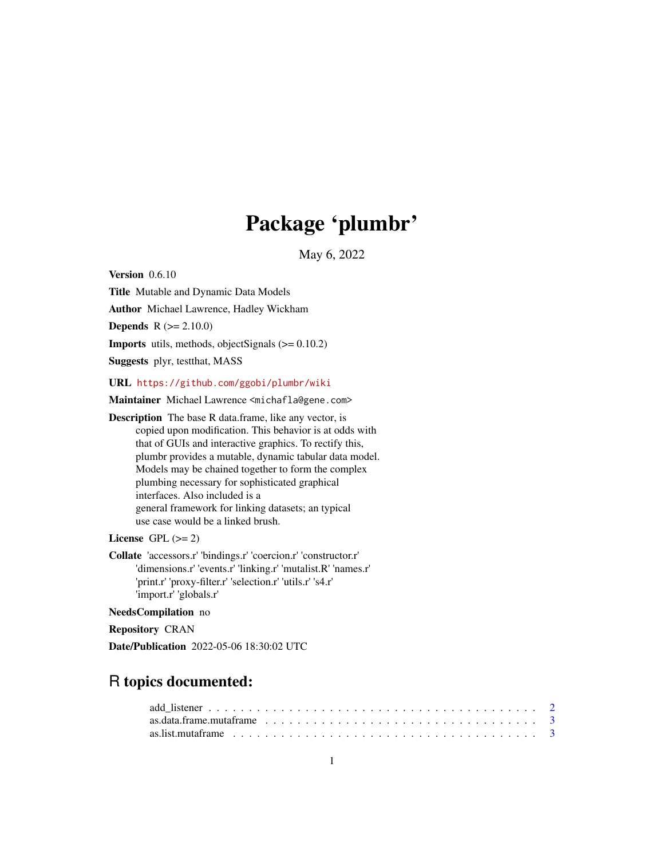# Package 'plumbr'

May 6, 2022

<span id="page-0-0"></span>Version 0.6.10

Title Mutable and Dynamic Data Models

Author Michael Lawrence, Hadley Wickham

**Depends**  $R (= 2.10.0)$ 

**Imports** utils, methods, objectSignals  $(>= 0.10.2)$ 

Suggests plyr, testthat, MASS

URL <https://github.com/ggobi/plumbr/wiki>

Maintainer Michael Lawrence <michafla@gene.com>

Description The base R data.frame, like any vector, is copied upon modification. This behavior is at odds with that of GUIs and interactive graphics. To rectify this, plumbr provides a mutable, dynamic tabular data model. Models may be chained together to form the complex plumbing necessary for sophisticated graphical interfaces. Also included is a general framework for linking datasets; an typical use case would be a linked brush.

License GPL  $(>= 2)$ 

Collate 'accessors.r' 'bindings.r' 'coercion.r' 'constructor.r' 'dimensions.r' 'events.r' 'linking.r' 'mutalist.R' 'names.r' 'print.r' 'proxy-filter.r' 'selection.r' 'utils.r' 's4.r' 'import.r' 'globals.r'

NeedsCompilation no

Repository CRAN

Date/Publication 2022-05-06 18:30:02 UTC

# R topics documented: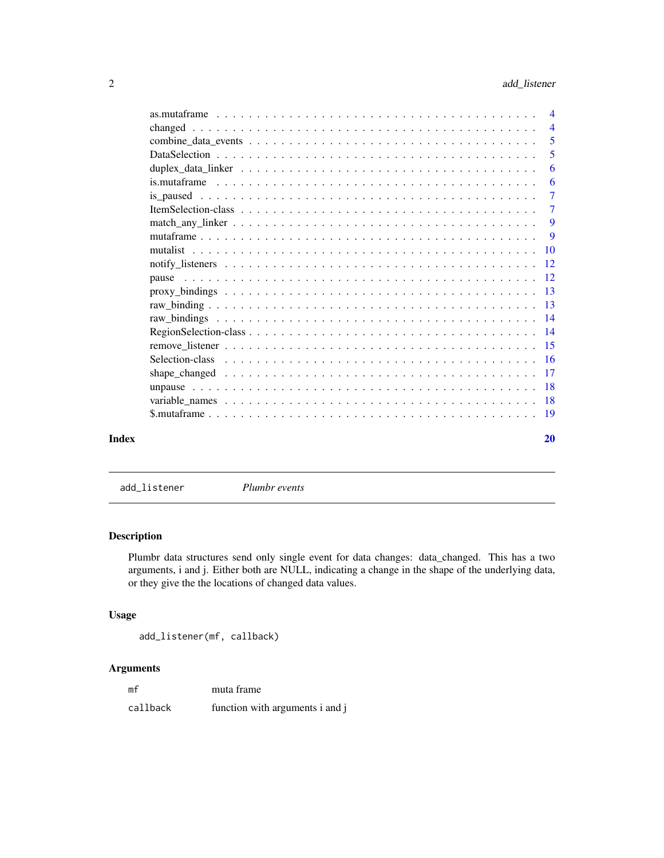<span id="page-1-0"></span>

| Index | 20             |
|-------|----------------|
|       |                |
|       |                |
|       |                |
|       |                |
|       |                |
|       |                |
|       |                |
|       |                |
|       |                |
|       |                |
|       |                |
|       |                |
|       |                |
|       | 9              |
|       | 9              |
|       | $\overline{7}$ |
|       | $\overline{7}$ |
|       | 6              |
|       | 6              |
|       | 5              |
|       | 5              |
|       | $\overline{4}$ |
|       | $\overline{4}$ |

<span id="page-1-1"></span>add\_listener *Plumbr events*

# Description

Plumbr data structures send only single event for data changes: data\_changed. This has a two arguments, i and j. Either both are NULL, indicating a change in the shape of the underlying data, or they give the the locations of changed data values.

#### Usage

```
add_listener(mf, callback)
```
# Arguments

| mf       | muta frame                      |
|----------|---------------------------------|
| callback | function with arguments i and j |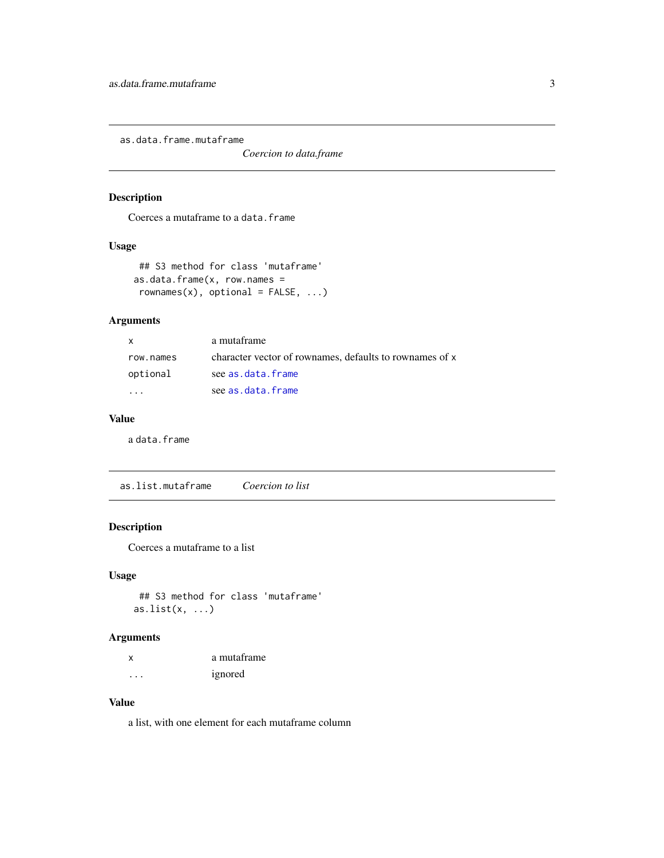<span id="page-2-0"></span>as.data.frame.mutaframe

*Coercion to data.frame*

# Description

Coerces a mutaframe to a data.frame

#### Usage

```
## S3 method for class 'mutaframe'
as.data.frame(x, row.name =rownames(x), optional = FALSE, ...)
```
#### Arguments

| X         | a mutaframe                                             |
|-----------|---------------------------------------------------------|
| row.names | character vector of rownames, defaults to rownames of x |
| optional  | see as.data.frame                                       |
|           | see as.data.frame                                       |

# Value

a data.frame

as.list.mutaframe *Coercion to list*

#### Description

Coerces a mutaframe to a list

#### Usage

## S3 method for class 'mutaframe' as.list $(x, \ldots)$ 

# Arguments

| X | a mutaframe |
|---|-------------|
| . | ignored     |

#### Value

a list, with one element for each mutaframe column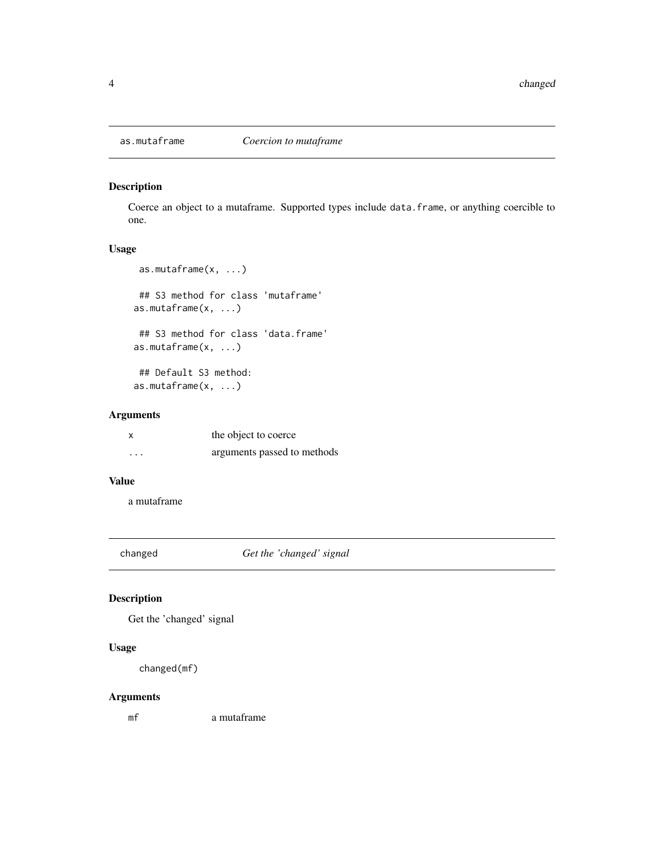<span id="page-3-0"></span>

#### Description

Coerce an object to a mutaframe. Supported types include data.frame, or anything coercible to one.

#### Usage

```
as.mutaframe(x, ...)
## S3 method for class 'mutaframe'
as.mutaframe(x, ...)
 ## S3 method for class 'data.frame'
as.mutaframe(x, ...)
 ## Default S3 method:
```
as.mutaframe(x, ...)

#### Arguments

|          | the object to coerce        |
|----------|-----------------------------|
| $\cdots$ | arguments passed to methods |

#### Value

a mutaframe

changed *Get the 'changed' signal*

### Description

Get the 'changed' signal

#### Usage

changed(mf)

#### Arguments

mf a mutaframe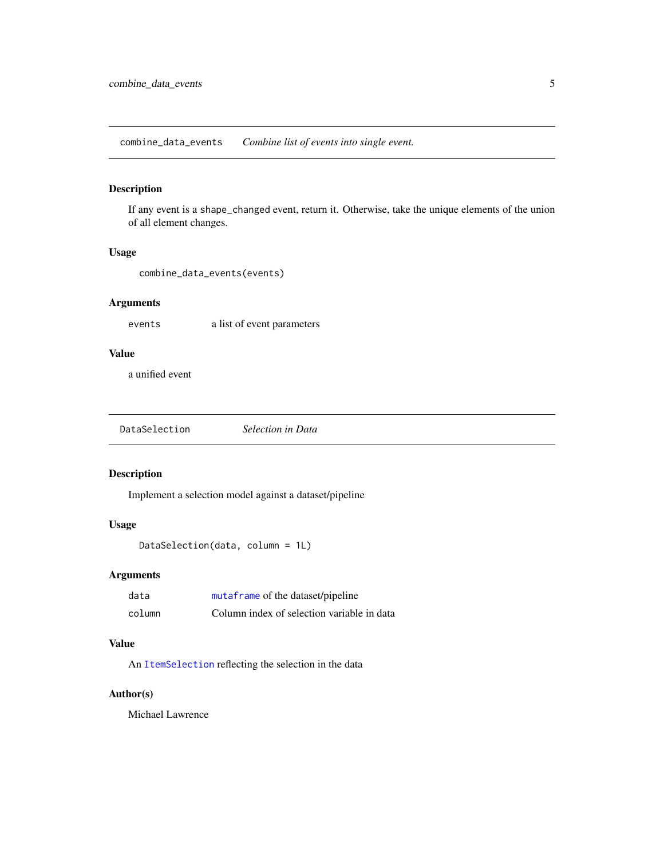<span id="page-4-0"></span>combine\_data\_events *Combine list of events into single event.*

#### Description

If any event is a shape\_changed event, return it. Otherwise, take the unique elements of the union of all element changes.

#### Usage

```
combine_data_events(events)
```
#### Arguments

events a list of event parameters

# Value

a unified event

| DataSelection | Selection in Data |
|---------------|-------------------|
|               |                   |

#### Description

Implement a selection model against a dataset/pipeline

# Usage

```
DataSelection(data, column = 1L)
```
#### Arguments

| data   | mutaframe of the dataset/pipeline          |
|--------|--------------------------------------------|
| column | Column index of selection variable in data |

#### Value

An [ItemSelection](#page-6-1) reflecting the selection in the data

#### Author(s)

Michael Lawrence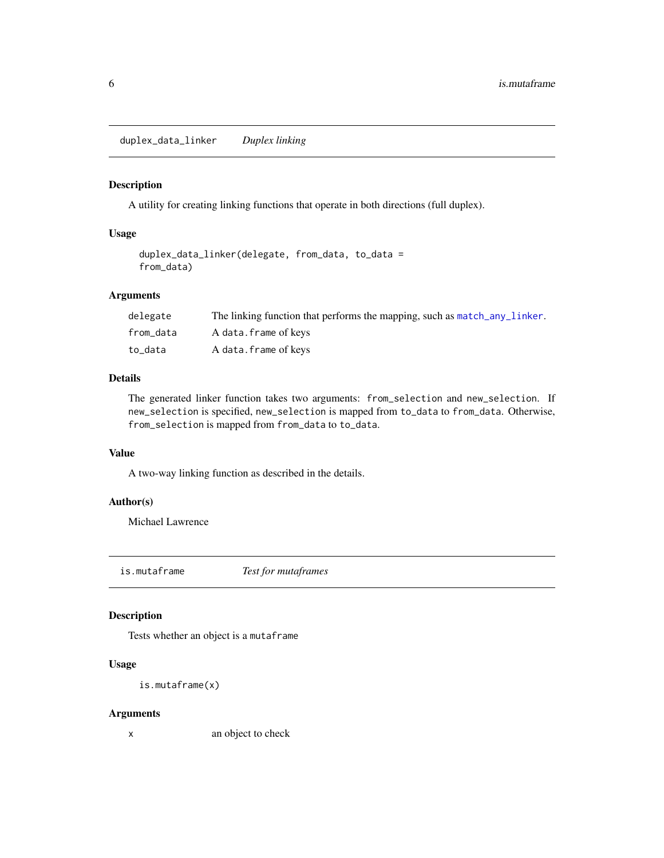<span id="page-5-1"></span><span id="page-5-0"></span>duplex\_data\_linker *Duplex linking*

#### Description

A utility for creating linking functions that operate in both directions (full duplex).

#### Usage

```
duplex_data_linker(delegate, from_data, to_data =
from_data)
```
# Arguments

| delegate  | The linking function that performs the mapping, such as match_any_linker. |
|-----------|---------------------------------------------------------------------------|
| from data | A data.frame of keys                                                      |
| to data   | A data.frame of keys                                                      |

#### Details

The generated linker function takes two arguments: from\_selection and new\_selection. If new\_selection is specified, new\_selection is mapped from to\_data to from\_data. Otherwise, from\_selection is mapped from from\_data to to\_data.

# Value

A two-way linking function as described in the details.

#### Author(s)

Michael Lawrence

is.mutaframe *Test for mutaframes*

#### Description

Tests whether an object is a mutaframe

#### Usage

is.mutaframe(x)

#### Arguments

x an object to check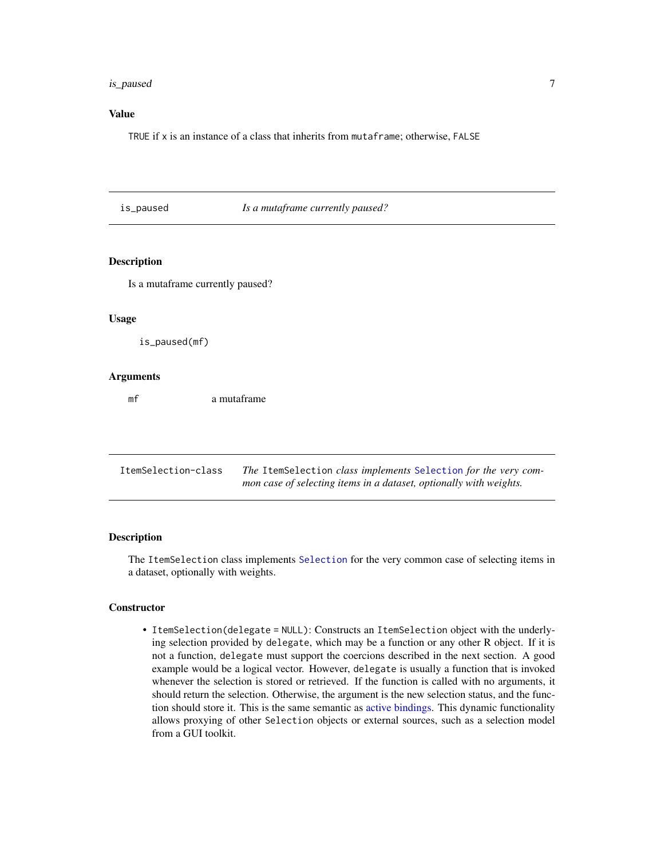#### <span id="page-6-0"></span>is\_paused 7 7

#### Value

TRUE if x is an instance of a class that inherits from mutaframe; otherwise, FALSE

is\_paused *Is a mutaframe currently paused?*

#### Description

Is a mutaframe currently paused?

#### Usage

is\_paused(mf)

#### Arguments

mf a mutaframe

<span id="page-6-2"></span>

| ItemSelection-class | The ItemSelection class implements Selection for the very com-     |
|---------------------|--------------------------------------------------------------------|
|                     | mon case of selecting items in a dataset, optionally with weights. |

#### <span id="page-6-1"></span>Description

The ItemSelection class implements [Selection](#page-15-1) for the very common case of selecting items in a dataset, optionally with weights.

#### **Constructor**

• ItemSelection(delegate = NULL): Constructs an ItemSelection object with the underlying selection provided by delegate, which may be a function or any other R object. If it is not a function, delegate must support the coercions described in the next section. A good example would be a logical vector. However, delegate is usually a function that is invoked whenever the selection is stored or retrieved. If the function is called with no arguments, it should return the selection. Otherwise, the argument is the new selection status, and the function should store it. This is the same semantic as [active bindings.](#page-0-0) This dynamic functionality allows proxying of other Selection objects or external sources, such as a selection model from a GUI toolkit.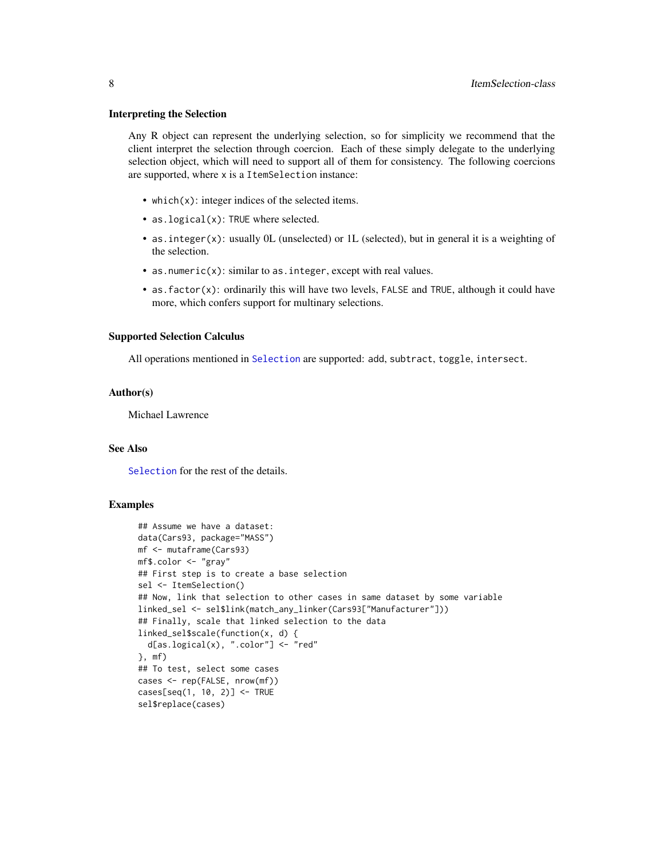#### <span id="page-7-0"></span>Interpreting the Selection

Any R object can represent the underlying selection, so for simplicity we recommend that the client interpret the selection through coercion. Each of these simply delegate to the underlying selection object, which will need to support all of them for consistency. The following coercions are supported, where x is a ItemSelection instance:

- which(x): integer indices of the selected items.
- as. logical(x): TRUE where selected.
- as.integer(x): usually 0L (unselected) or 1L (selected), but in general it is a weighting of the selection.
- as.numeric $(x)$ : similar to as. integer, except with real values.
- as.factor(x): ordinarily this will have two levels, FALSE and TRUE, although it could have more, which confers support for multinary selections.

#### Supported Selection Calculus

All operations mentioned in [Selection](#page-15-1) are supported: add, subtract, toggle, intersect.

#### Author(s)

Michael Lawrence

#### See Also

[Selection](#page-15-1) for the rest of the details.

#### Examples

```
## Assume we have a dataset:
data(Cars93, package="MASS")
mf <- mutaframe(Cars93)
mf$.color <- "gray"
## First step is to create a base selection
sel <- ItemSelection()
## Now, link that selection to other cases in same dataset by some variable
linked_sel <- sel$link(match_any_linker(Cars93["Manufacturer"]))
## Finally, scale that linked selection to the data
linked_sel$scale(function(x, d) {
  d[as.logical(x), "color"] \leftarrow "red"}, mf)
## To test, select some cases
cases <- rep(FALSE, nrow(mf))
cases[seq(1, 10, 2)] <- TRUE
sel$replace(cases)
```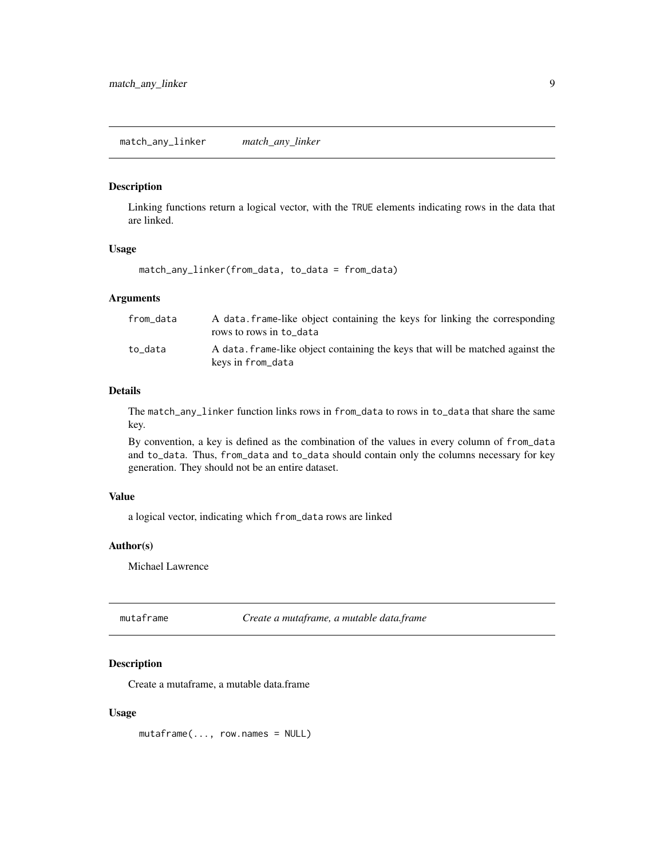#### <span id="page-8-2"></span><span id="page-8-0"></span>Description

Linking functions return a logical vector, with the TRUE elements indicating rows in the data that are linked.

#### Usage

match\_any\_linker(from\_data, to\_data = from\_data)

#### Arguments

| from_data | A data frame-like object containing the keys for linking the corresponding<br>rows to rows in to data |
|-----------|-------------------------------------------------------------------------------------------------------|
| to data   | A data, frame-like object containing the keys that will be matched against the<br>keys in from_data   |

#### Details

The match\_any\_linker function links rows in from\_data to rows in to\_data that share the same key.

By convention, a key is defined as the combination of the values in every column of from\_data and to\_data. Thus, from\_data and to\_data should contain only the columns necessary for key generation. They should not be an entire dataset.

#### Value

a logical vector, indicating which from\_data rows are linked

#### Author(s)

Michael Lawrence

<span id="page-8-1"></span>mutaframe *Create a mutaframe, a mutable data.frame*

#### Description

Create a mutaframe, a mutable data.frame

#### Usage

mutaframe(..., row.names = NULL)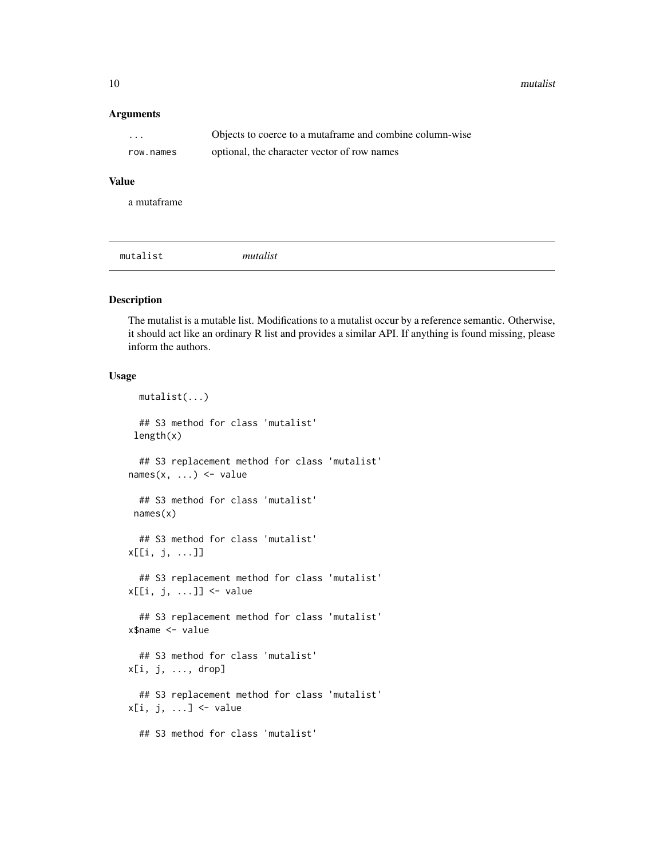<span id="page-9-0"></span>10 mutalist mutalist mutalist mutalist mutalist mutalist mutalist mutalist mutalist mutalist mutalist mutalist mutalist mutalist mutalist mutalist mutalist mutalist mutalist mutalist mutalist mutalist mutalist mutalist mut

#### Arguments

| $\cdots$  | Objects to coerce to a mutaframe and combine column-wise |
|-----------|----------------------------------------------------------|
| row.names | optional, the character vector of row names              |

#### Value

a mutaframe

mutalist *mutalist*

#### Description

The mutalist is a mutable list. Modifications to a mutalist occur by a reference semantic. Otherwise, it should act like an ordinary R list and provides a similar API. If anything is found missing, please inform the authors.

#### Usage

```
mutalist(...)
  ## S3 method for class 'mutalist'
length(x)
  ## S3 replacement method for class 'mutalist'
names(x, ...) \leq value## S3 method for class 'mutalist'
 names(x)
  ## S3 method for class 'mutalist'
x[[i, j, ...]]
  ## S3 replacement method for class 'mutalist'
x[[i, j, ...]] <- value
  ## S3 replacement method for class 'mutalist'
x$name <- value
  ## S3 method for class 'mutalist'
x[i, j, ..., drop]
  ## S3 replacement method for class 'mutalist'
x[i, j, ...] <- value
  ## S3 method for class 'mutalist'
```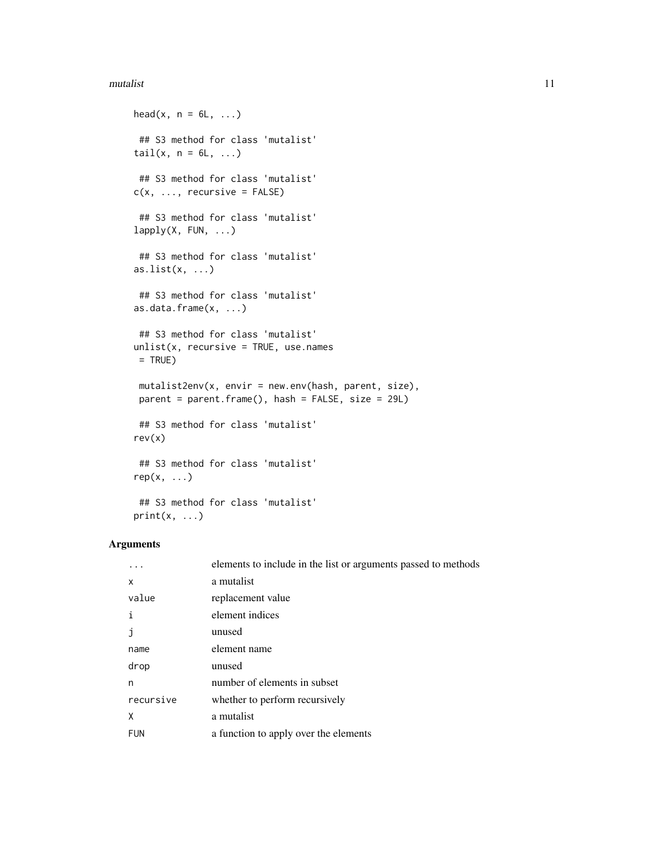#### mutalist 11

```
head(x, n = 6L, ...)
## S3 method for class 'mutalist'
tail(x, n = 6L, ...)
## S3 method for class 'mutalist'
c(x, \ldots, recursive = FALSE)
## S3 method for class 'mutalist'
lapply(X, FUN, \ldots)
## S3 method for class 'mutalist'
as.list(x, \ldots)## S3 method for class 'mutalist'
as.data.frame(x, ...)
## S3 method for class 'mutalist'
unlist(x, recursive = TRUE, use.name)= TRUE)
mutalist2env(x, envir = new.env(hash, parent, size),
parent = parent.frame(), hash = FALSE, size = 29L)
## S3 method for class 'mutalist'
rev(x)
 ## S3 method for class 'mutalist'
rep(x, \ldots)## S3 method for class 'mutalist'
print(x, \ldots)
```
#### Arguments

|            | elements to include in the list or arguments passed to methods |
|------------|----------------------------------------------------------------|
| x          | a mutalist                                                     |
| value      | replacement value                                              |
| i          | element indices                                                |
|            | unused                                                         |
| name       | element name                                                   |
| drop       | unused                                                         |
| n          | number of elements in subset                                   |
| recursive  | whether to perform recursively                                 |
| χ          | a mutalist                                                     |
| <b>FUN</b> | a function to apply over the elements                          |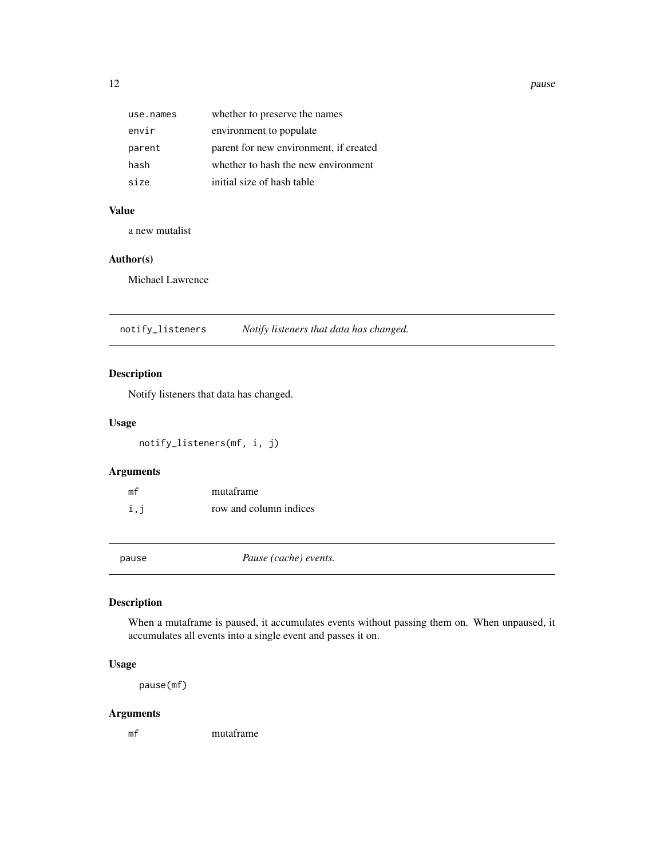<span id="page-11-0"></span>12 pause et al. 2012 pause et al. 2013 pause et al. 2013 pause et al. 2013 pause et al. 2014 pause et al. 2014

| use.names | whether to preserve the names          |
|-----------|----------------------------------------|
| envir     | environment to populate                |
| parent    | parent for new environment, if created |
| hash      | whether to hash the new environment    |
| size      | initial size of hash table             |

# Value

a new mutalist

#### Author(s)

Michael Lawrence

notify\_listeners *Notify listeners that data has changed.*

#### Description

Notify listeners that data has changed.

#### Usage

```
notify_listeners(mf, i, j)
```
#### Arguments

| mf  | mutaframe              |
|-----|------------------------|
| i,j | row and column indices |

pause *Pause (cache) events.*

# Description

When a mutaframe is paused, it accumulates events without passing them on. When unpaused, it accumulates all events into a single event and passes it on.

#### Usage

pause(mf)

#### Arguments

mf mutaframe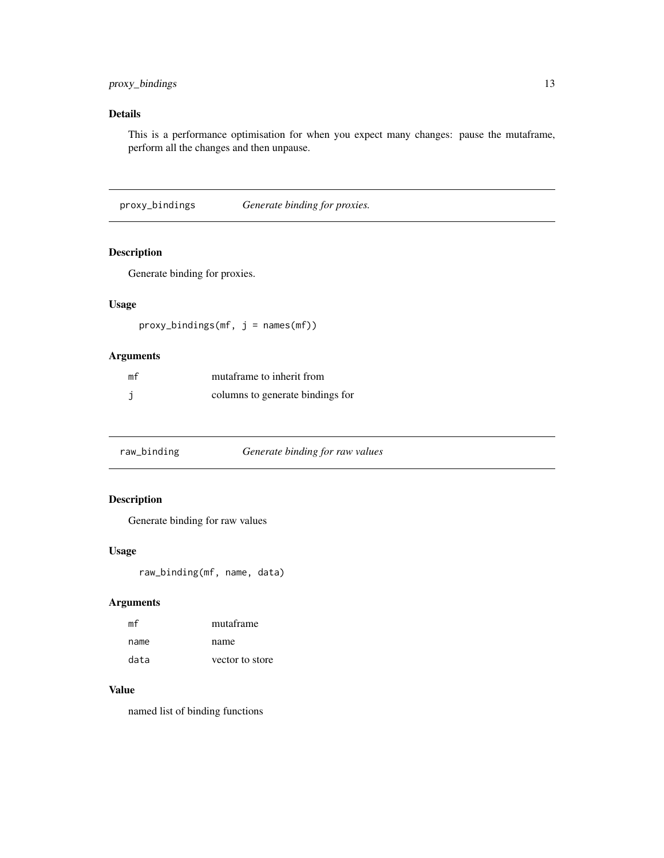#### <span id="page-12-0"></span>proxy\_bindings 13

# Details

This is a performance optimisation for when you expect many changes: pause the mutaframe, perform all the changes and then unpause.

proxy\_bindings *Generate binding for proxies.*

#### Description

Generate binding for proxies.

# Usage

 $prox\_bindings(mf, j = names(mf))$ 

#### Arguments

| mf | mutaframe to inherit from        |
|----|----------------------------------|
|    | columns to generate bindings for |

| raw_binding | Generate binding for raw values |
|-------------|---------------------------------|
|-------------|---------------------------------|

# Description

Generate binding for raw values

# Usage

raw\_binding(mf, name, data)

# Arguments

| mf   | mutaframe       |
|------|-----------------|
| name | name            |
| data | vector to store |

#### Value

named list of binding functions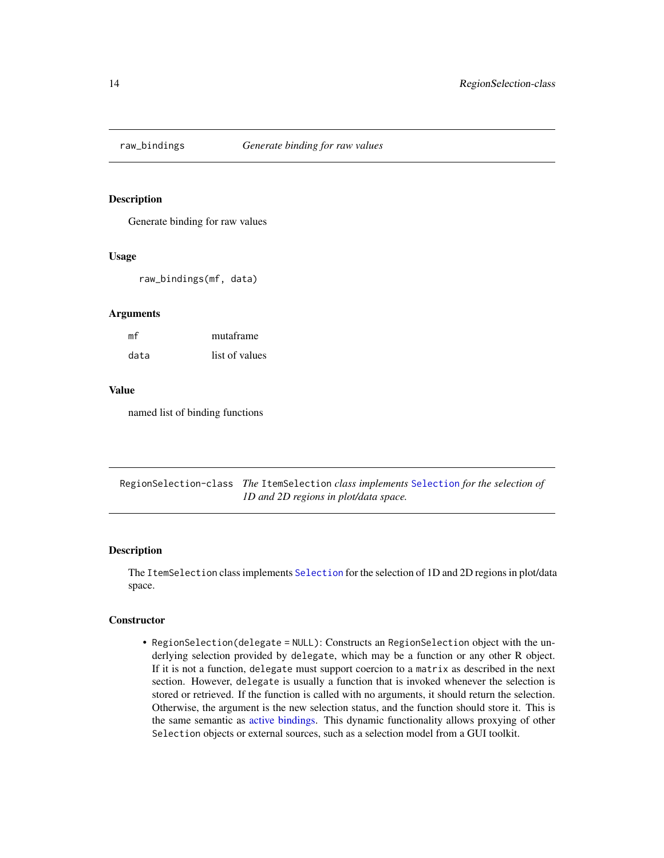<span id="page-13-0"></span>

#### Description

Generate binding for raw values

#### Usage

raw\_bindings(mf, data)

#### Arguments

| mf   | mutaframe      |
|------|----------------|
| data | list of values |

#### Value

named list of binding functions

RegionSelection-class *The* ItemSelection *class implements* [Selection](#page-15-1) *for the selection of 1D and 2D regions in plot/data space.*

#### <span id="page-13-1"></span>Description

The ItemSelection class implements [Selection](#page-15-1) for the selection of 1D and 2D regions in plot/data space.

#### **Constructor**

• RegionSelection(delegate = NULL): Constructs an RegionSelection object with the underlying selection provided by delegate, which may be a function or any other R object. If it is not a function, delegate must support coercion to a matrix as described in the next section. However, delegate is usually a function that is invoked whenever the selection is stored or retrieved. If the function is called with no arguments, it should return the selection. Otherwise, the argument is the new selection status, and the function should store it. This is the same semantic as [active bindings.](#page-0-0) This dynamic functionality allows proxying of other Selection objects or external sources, such as a selection model from a GUI toolkit.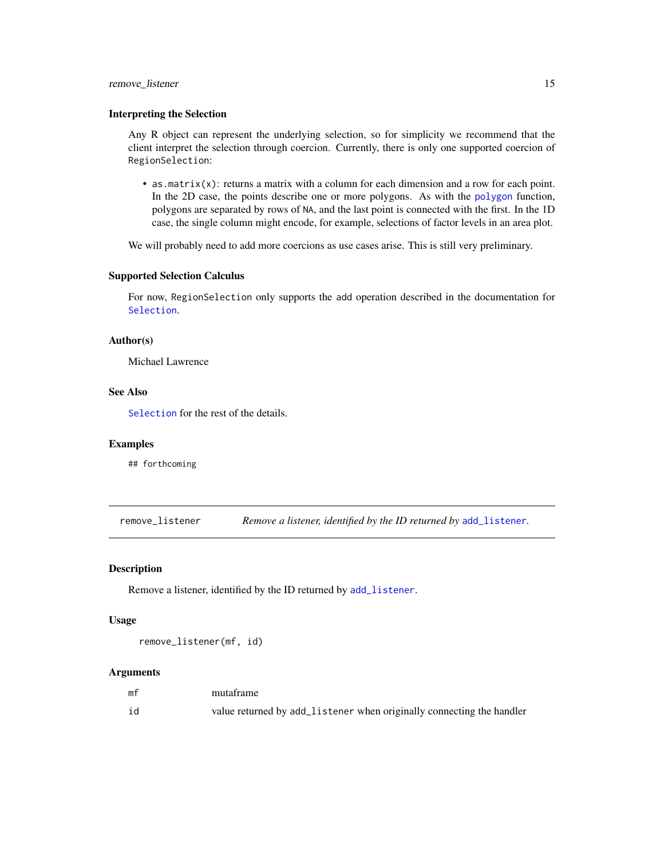#### <span id="page-14-0"></span>remove\_listener 15

#### Interpreting the Selection

Any R object can represent the underlying selection, so for simplicity we recommend that the client interpret the selection through coercion. Currently, there is only one supported coercion of RegionSelection:

• as.matrix $(x)$ : returns a matrix with a column for each dimension and a row for each point. In the 2D case, the points describe one or more polygons. As with the [polygon](#page-0-0) function, polygons are separated by rows of NA, and the last point is connected with the first. In the 1D case, the single column might encode, for example, selections of factor levels in an area plot.

We will probably need to add more coercions as use cases arise. This is still very preliminary.

#### Supported Selection Calculus

For now, RegionSelection only supports the add operation described in the documentation for [Selection](#page-15-1).

#### Author(s)

Michael Lawrence

#### See Also

[Selection](#page-15-1) for the rest of the details.

#### Examples

## forthcoming

remove\_listener *Remove a listener, identified by the ID returned by* [add\\_listener](#page-1-1)*.*

#### Description

Remove a listener, identified by the ID returned by [add\\_listener](#page-1-1).

#### Usage

remove\_listener(mf, id)

#### Arguments

| mf | mutaframe                                                             |
|----|-----------------------------------------------------------------------|
| id | value returned by add_listener when originally connecting the handler |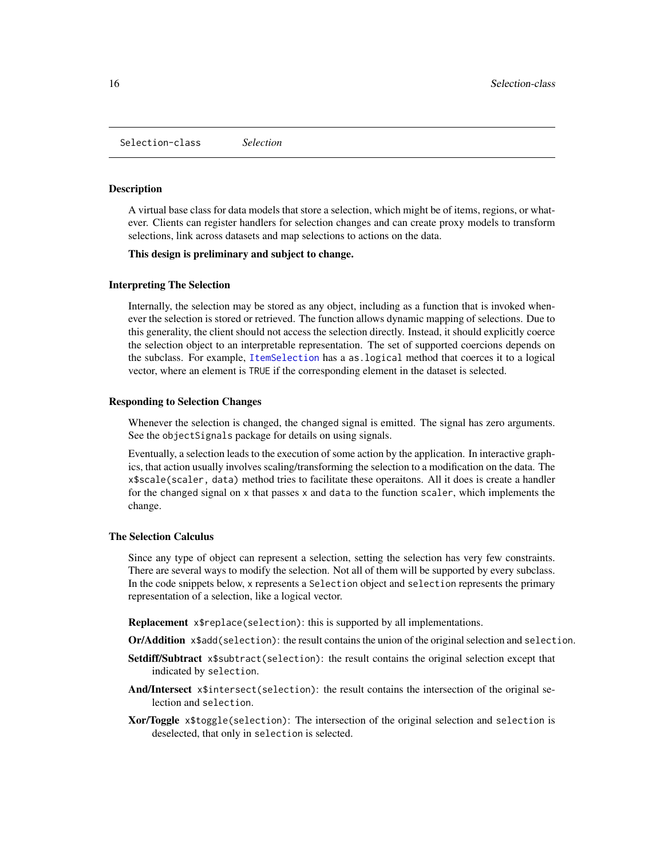<span id="page-15-1"></span><span id="page-15-0"></span>Selection-class *Selection*

#### **Description**

A virtual base class for data models that store a selection, which might be of items, regions, or whatever. Clients can register handlers for selection changes and can create proxy models to transform selections, link across datasets and map selections to actions on the data.

#### This design is preliminary and subject to change.

#### Interpreting The Selection

Internally, the selection may be stored as any object, including as a function that is invoked whenever the selection is stored or retrieved. The function allows dynamic mapping of selections. Due to this generality, the client should not access the selection directly. Instead, it should explicitly coerce the selection object to an interpretable representation. The set of supported coercions depends on the subclass. For example, [ItemSelection](#page-6-2) has a as.logical method that coerces it to a logical vector, where an element is TRUE if the corresponding element in the dataset is selected.

#### Responding to Selection Changes

Whenever the selection is changed, the changed signal is emitted. The signal has zero arguments. See the objectSignals package for details on using signals.

Eventually, a selection leads to the execution of some action by the application. In interactive graphics, that action usually involves scaling/transforming the selection to a modification on the data. The x\$scale(scaler, data) method tries to facilitate these operaitons. All it does is create a handler for the changed signal on x that passes x and data to the function scaler, which implements the change.

#### The Selection Calculus

Since any type of object can represent a selection, setting the selection has very few constraints. There are several ways to modify the selection. Not all of them will be supported by every subclass. In the code snippets below, x represents a Selection object and selection represents the primary representation of a selection, like a logical vector.

Replacement x\$replace(selection): this is supported by all implementations.

Or/Addition x\$add(selection): the result contains the union of the original selection and selection.

- Setdiff/Subtract x\$subtract(selection): the result contains the original selection except that indicated by selection.
- And/Intersect x\$intersect(selection): the result contains the intersection of the original selection and selection.
- Xor/Toggle x\$toggle(selection): The intersection of the original selection and selection is deselected, that only in selection is selected.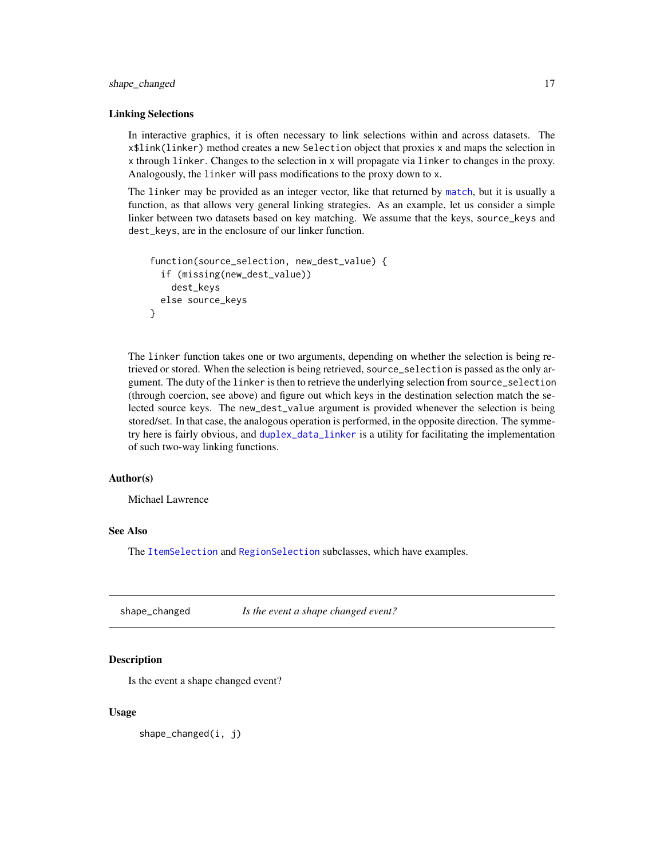#### <span id="page-16-0"></span>shape\_changed 17

#### Linking Selections

In interactive graphics, it is often necessary to link selections within and across datasets. The x\$link(linker) method creates a new Selection object that proxies x and maps the selection in x through linker. Changes to the selection in x will propagate via linker to changes in the proxy. Analogously, the linker will pass modifications to the proxy down to x.

The linker may be provided as an integer vector, like that returned by [match](#page-0-0), but it is usually a function, as that allows very general linking strategies. As an example, let us consider a simple linker between two datasets based on key matching. We assume that the keys, source\_keys and dest\_keys, are in the enclosure of our linker function.

```
function(source_selection, new_dest_value) {
 if (missing(new_dest_value))
   dest_keys
 else source_keys
}
```
The linker function takes one or two arguments, depending on whether the selection is being retrieved or stored. When the selection is being retrieved, source\_selection is passed as the only argument. The duty of the linker is then to retrieve the underlying selection from source\_selection (through coercion, see above) and figure out which keys in the destination selection match the selected source keys. The new\_dest\_value argument is provided whenever the selection is being stored/set. In that case, the analogous operation is performed, in the opposite direction. The symmetry here is fairly obvious, and [duplex\\_data\\_linker](#page-5-1) is a utility for facilitating the implementation of such two-way linking functions.

#### Author(s)

Michael Lawrence

### See Also

The [ItemSelection](#page-6-1) and [RegionSelection](#page-13-1) subclasses, which have examples.

shape\_changed *Is the event a shape changed event?*

#### Description

Is the event a shape changed event?

#### Usage

shape\_changed(i, j)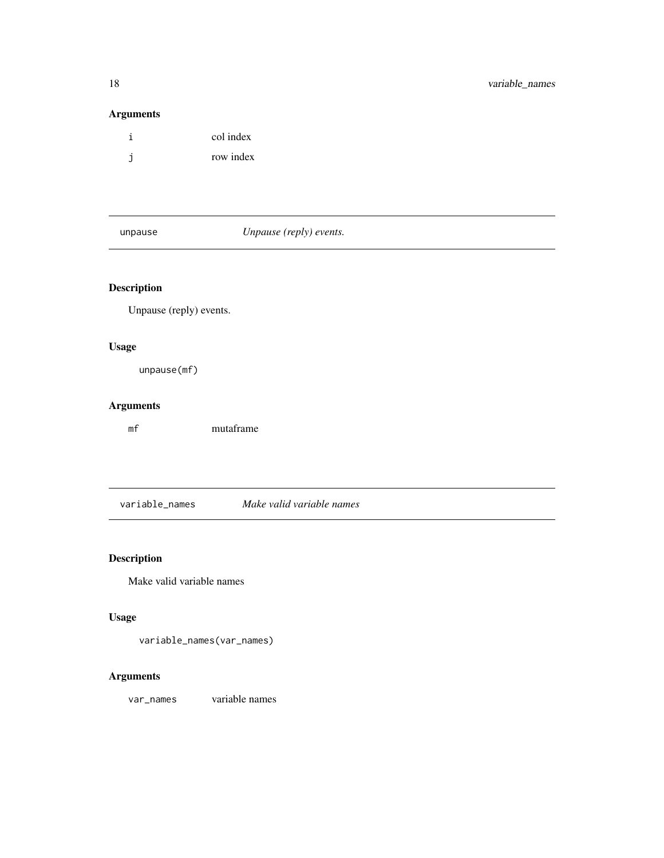# Arguments

|   | col index |
|---|-----------|
| j | row index |

unpause *Unpause (reply) events.*

# Description

Unpause (reply) events.

# Usage

unpause(mf)

# Arguments

mf mutaframe

variable\_names *Make valid variable names*

# Description

Make valid variable names

# Usage

variable\_names(var\_names)

# Arguments

var\_names variable names

<span id="page-17-0"></span>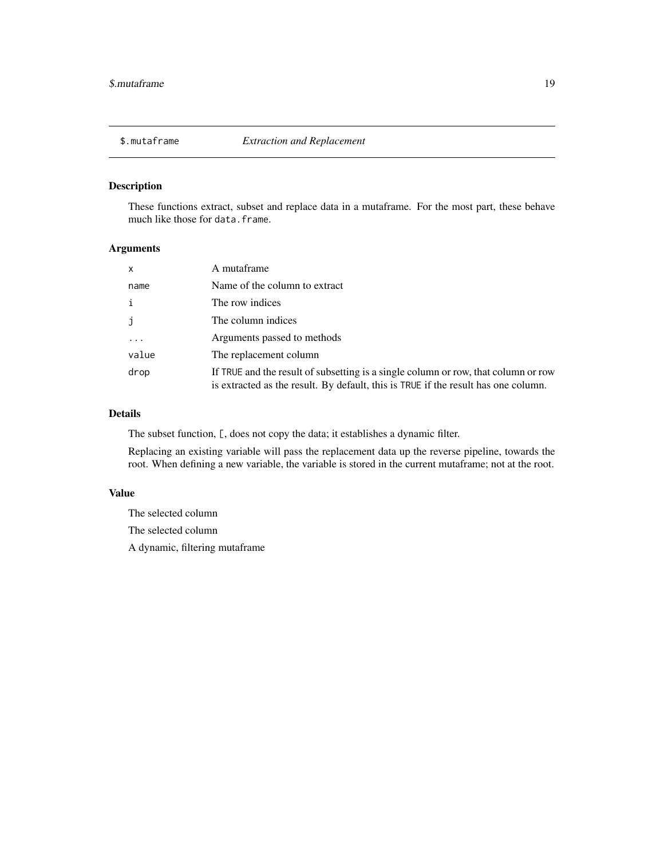<span id="page-18-0"></span>

#### Description

These functions extract, subset and replace data in a mutaframe. For the most part, these behave much like those for data.frame.

#### Arguments

| x     | A mutaframe                                                                                                                                                              |
|-------|--------------------------------------------------------------------------------------------------------------------------------------------------------------------------|
| name  | Name of the column to extract                                                                                                                                            |
| i     | The row indices                                                                                                                                                          |
| j     | The column indices                                                                                                                                                       |
|       | Arguments passed to methods                                                                                                                                              |
| value | The replacement column                                                                                                                                                   |
| drop  | If TRUE and the result of subsetting is a single column or row, that column or row<br>is extracted as the result. By default, this is TRUE if the result has one column. |

#### Details

The subset function, [, does not copy the data; it establishes a dynamic filter.

Replacing an existing variable will pass the replacement data up the reverse pipeline, towards the root. When defining a new variable, the variable is stored in the current mutaframe; not at the root.

#### Value

The selected column The selected column A dynamic, filtering mutaframe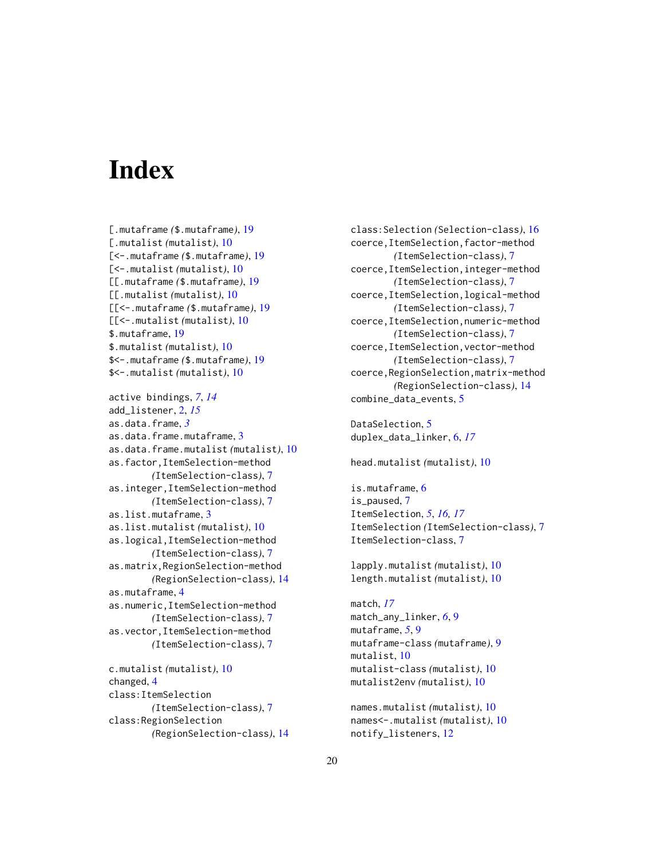# <span id="page-19-0"></span>**Index**

[.mutaframe *(*\$.mutaframe*)*, [19](#page-18-0) [.mutalist *(*mutalist*)*, [10](#page-9-0) [<-.mutaframe *(*\$.mutaframe*)*, [19](#page-18-0) [<-.mutalist *(*mutalist*)*, [10](#page-9-0) [[.mutaframe *(*\$.mutaframe*)*, [19](#page-18-0) [[.mutalist *(*mutalist*)*, [10](#page-9-0) [[<-.mutaframe *(*\$.mutaframe*)*, [19](#page-18-0) [[<-.mutalist *(*mutalist*)*, [10](#page-9-0) \$.mutaframe, [19](#page-18-0) \$.mutalist *(*mutalist*)*, [10](#page-9-0) \$<-.mutaframe *(*\$.mutaframe*)*, [19](#page-18-0) \$<-.mutalist *(*mutalist*)*, [10](#page-9-0)

```
active bindings, 7, 14
add_listener, 2, 15
as.data.frame, 3
as.data.frame.mutaframe, 3
as.data.frame.mutalist (mutalist), 10
as.factor,ItemSelection-method
        (ItemSelection-class), 7
as.integer,ItemSelection-method
        (ItemSelection-class), 7
as.list.mutaframe, 3
as.list.mutalist (mutalist), 10
as.logical,ItemSelection-method
        (ItemSelection-class), 7
as.matrix,RegionSelection-method
        (RegionSelection-class), 14
as.mutaframe, 4
as.numeric,ItemSelection-method
        (ItemSelection-class), 7
as.vector,ItemSelection-method
        (ItemSelection-class), 7
c.mutalist (mutalist), 10
```
changed, [4](#page-3-0) class:ItemSelection *(*ItemSelection-class*)*, [7](#page-6-0) class:RegionSelection *(*RegionSelection-class*)*, [14](#page-13-0) class:Selection *(*Selection-class*)*, [16](#page-15-0) coerce,ItemSelection,factor-method *(*ItemSelection-class*)*, [7](#page-6-0) coerce,ItemSelection,integer-method *(*ItemSelection-class*)*, [7](#page-6-0) coerce,ItemSelection,logical-method *(*ItemSelection-class*)*, [7](#page-6-0) coerce,ItemSelection,numeric-method *(*ItemSelection-class*)*, [7](#page-6-0) coerce,ItemSelection,vector-method *(*ItemSelection-class*)*, [7](#page-6-0) coerce,RegionSelection,matrix-method *(*RegionSelection-class*)*, [14](#page-13-0) combine\_data\_events, [5](#page-4-0)

DataSelection, [5](#page-4-0) duplex\_data\_linker, [6,](#page-5-0) *[17](#page-16-0)*

head.mutalist *(*mutalist*)*, [10](#page-9-0)

is.mutaframe, [6](#page-5-0) is\_paused, [7](#page-6-0) ItemSelection, *[5](#page-4-0)*, *[16,](#page-15-0) [17](#page-16-0)* ItemSelection *(*ItemSelection-class*)*, [7](#page-6-0) ItemSelection-class, [7](#page-6-0)

lapply.mutalist *(*mutalist*)*, [10](#page-9-0) length.mutalist *(*mutalist*)*, [10](#page-9-0)

match, *[17](#page-16-0)* match\_any\_linker, *[6](#page-5-0)*, [9](#page-8-0) mutaframe, *[5](#page-4-0)*, [9](#page-8-0) mutaframe-class *(*mutaframe*)*, [9](#page-8-0) mutalist, [10](#page-9-0) mutalist-class *(*mutalist*)*, [10](#page-9-0) mutalist2env *(*mutalist*)*, [10](#page-9-0)

```
names.mutalist (mutalist), 10
names<-.mutalist (mutalist), 10
notify_listeners, 12
```